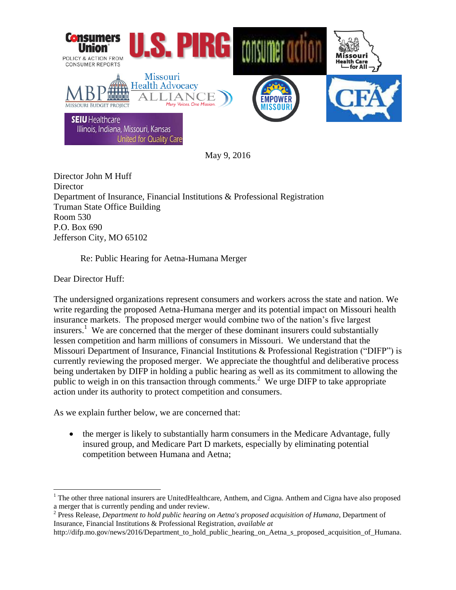

May 9, 2016

Director John M Huff **Director** Department of Insurance, Financial Institutions & Professional Registration Truman State Office Building Room 530 P.O. Box 690 Jefferson City, MO 65102

Re: Public Hearing for Aetna-Humana Merger

Dear Director Huff:

 $\overline{a}$ 

The undersigned organizations represent consumers and workers across the state and nation. We write regarding the proposed Aetna-Humana merger and its potential impact on Missouri health insurance markets. The proposed merger would combine two of the nation's five largest insurers.<sup>1</sup> We are concerned that the merger of these dominant insurers could substantially lessen competition and harm millions of consumers in Missouri. We understand that the Missouri Department of Insurance, Financial Institutions & Professional Registration ("DIFP") is currently reviewing the proposed merger. We appreciate the thoughtful and deliberative process being undertaken by DIFP in holding a public hearing as well as its commitment to allowing the public to weigh in on this transaction through comments.<sup>2</sup> We urge DIFP to take appropriate action under its authority to protect competition and consumers.

As we explain further below, we are concerned that:

• the merger is likely to substantially harm consumers in the Medicare Advantage, fully insured group, and Medicare Part D markets, especially by eliminating potential competition between Humana and Aetna;

2 Press Release, *Department to hold public hearing on Aetna's proposed acquisition of Humana*, Department of Insurance, Financial Institutions & Professional Registration, *available at* 

<sup>&</sup>lt;sup>1</sup> The other three national insurers are UnitedHealthcare, Anthem, and Cigna. Anthem and Cigna have also proposed a merger that is currently pending and under review.

http://difp.mo.gov/news/2016/Department\_to\_hold\_public\_hearing\_on\_Aetna\_s\_proposed\_acquisition\_of\_Humana.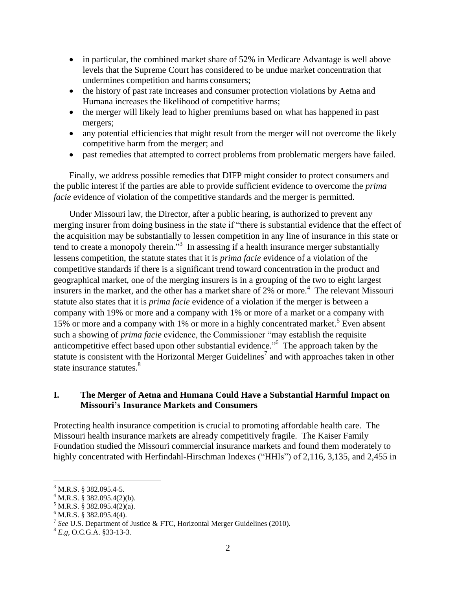- in particular, the combined market share of 52% in Medicare Advantage is well above levels that the Supreme Court has considered to be undue market concentration that undermines competition and harms consumers;
- the history of past rate increases and consumer protection violations by Aetna and Humana increases the likelihood of competitive harms;
- the merger will likely lead to higher premiums based on what has happened in past mergers;
- any potential efficiencies that might result from the merger will not overcome the likely competitive harm from the merger; and
- past remedies that attempted to correct problems from problematic mergers have failed.

Finally, we address possible remedies that DIFP might consider to protect consumers and the public interest if the parties are able to provide sufficient evidence to overcome the *prima facie* evidence of violation of the competitive standards and the merger is permitted.

Under Missouri law, the Director, after a public hearing, is authorized to prevent any merging insurer from doing business in the state if "there is substantial evidence that the effect of the acquisition may be substantially to lessen competition in any line of insurance in this state or tend to create a monopoly therein.<sup>33</sup> In assessing if a health insurance merger substantially lessens competition, the statute states that it is *prima facie* evidence of a violation of the competitive standards if there is a significant trend toward concentration in the product and geographical market, one of the merging insurers is in a grouping of the two to eight largest insurers in the market, and the other has a market share of 2% or more.<sup>4</sup> The relevant Missouri statute also states that it is *prima facie* evidence of a violation if the merger is between a company with 19% or more and a company with 1% or more of a market or a company with 15% or more and a company with 1% or more in a highly concentrated market.<sup>5</sup> Even absent such a showing of *prima facie* evidence, the Commissioner "may establish the requisite anticompetitive effect based upon other substantial evidence."<sup>6</sup> The approach taken by the statute is consistent with the Horizontal Merger Guidelines<sup>7</sup> and with approaches taken in other state insurance statutes.<sup>8</sup>

#### **I. The Merger of Aetna and Humana Could Have a Substantial Harmful Impact on Missouri's Insurance Markets and Consumers**

Protecting health insurance competition is crucial to promoting affordable health care. The Missouri health insurance markets are already competitively fragile. The Kaiser Family Foundation studied the Missouri commercial insurance markets and found them moderately to highly concentrated with Herfindahl-Hirschman Indexes ("HHIs") of 2,116, 3,135, and 2,455 in

 $\overline{a}$ <sup>3</sup> M.R.S. § 382.095.4-5.

 $4$  M.R.S. § 382.095.4(2)(b).

 $5$  M.R.S. § 382.095.4(2)(a).

 $6$  M.R.S. § 382.095.4(4).

<sup>7</sup> *See* U.S. Department of Justice & FTC, Horizontal Merger Guidelines (2010).

<sup>8</sup> *E.g*, O.C.G.A. §33-13-3.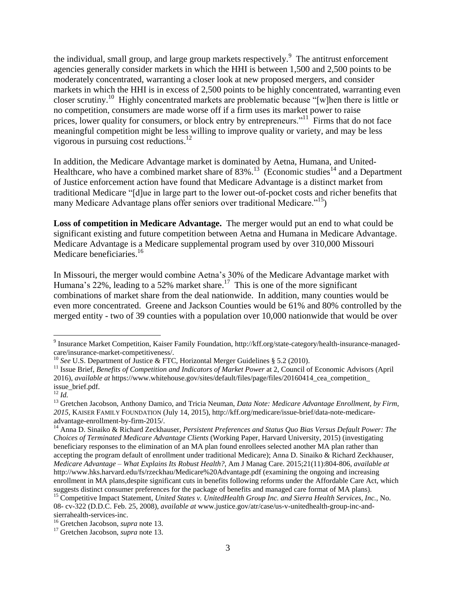the individual, small group, and large group markets respectively.<sup>9</sup> The antitrust enforcement agencies generally consider markets in which the HHI is between 1,500 and 2,500 points to be moderately concentrated, warranting a closer look at new proposed mergers, and consider markets in which the HHI is in excess of 2,500 points to be highly concentrated, warranting even closer scrutiny. 10 Highly concentrated markets are problematic because "[w]hen there is little or no competition, consumers are made worse off if a firm uses its market power to raise prices, lower quality for consumers, or block entry by entrepreneurs."<sup>11</sup> Firms that do not face meaningful competition might be less willing to improve quality or variety, and may be less vigorous in pursuing cost reductions.<sup>12</sup>

In addition, the Medicare Advantage market is dominated by Aetna, Humana, and United-Healthcare, who have a combined market share of  $83\%$ .<sup>13</sup> (Economic studies<sup>14</sup> and a Department of Justice enforcement action have found that Medicare Advantage is a distinct market from traditional Medicare "[d]ue in large part to the lower out-of-pocket costs and richer benefits that many Medicare Advantage plans offer seniors over traditional Medicare."<sup>15</sup>)

**Loss of competition in Medicare Advantage.** The merger would put an end to what could be significant existing and future competition between Aetna and Humana in Medicare Advantage. Medicare Advantage is a Medicare supplemental program used by over 310,000 Missouri Medicare beneficiaries.<sup>16</sup>

In Missouri, the merger would combine Aetna's 30% of the Medicare Advantage market with Humana's 22%, leading to a 52% market share.<sup>17</sup> This is one of the more significant combinations of market share from the deal nationwide. In addition, many counties would be even more concentrated. Greene and Jackson Counties would be 61% and 80% controlled by the merged entity - two of 39 counties with a population over 10,000 nationwide that would be over

<sup>&</sup>lt;sup>9</sup> Insurance Market Competition, Kaiser Family Foundation, http://kff.org/state-category/health-insurance-managedcare/insurance-market-competitiveness/.

<sup>&</sup>lt;sup>10</sup> *See* U.S. Department of Justice & FTC, Horizontal Merger Guidelines § 5.2 (2010).

<sup>&</sup>lt;sup>11</sup> Issue Brief, *Benefits of Competition and Indicators of Market Power* at 2, Council of Economic Advisors (April 2016), *available at* https://www.whitehouse.gov/sites/default/files/page/files/20160414\_cea\_competition\_ issue\_brief.pdf.

<sup>12</sup> *Id.*

<sup>&</sup>lt;sup>13</sup> Gretchen Jacobson, Anthony Damico, and Tricia Neuman, *Data Note: Medicare Advantage Enrollment, by Firm, 2015*, KAISER FAMILY FOUNDATION (July 14, 2015), http://kff.org/medicare/issue-brief/data-note-medicareadvantage-enrollment-by-firm-2015/.

<sup>14</sup> Anna D. Sinaiko & Richard Zeckhauser, *Persistent Preferences and Status Quo Bias Versus Default Power: The Choices of Terminated Medicare Advantage Clients* (Working Paper, Harvard University, 2015) (investigating beneficiary responses to the elimination of an MA plan found enrollees selected another MA plan rather than accepting the program default of enrollment under traditional Medicare); Anna D. Sinaiko & Richard Zeckhauser, *Medicare Advantage – What Explains Its Robust Health?*, Am J Manag Care. 2015;21(11):804-806, *available at* http://www.hks.harvard.edu/fs/rzeckhau/Medicare%20Advantage.pdf (examining the ongoing and increasing enrollment in MA plans,despite significant cuts in benefits following reforms under the Affordable Care Act, which suggests distinct consumer preferences for the package of benefits and managed care format of MA plans).

<sup>15</sup> Competitive Impact Statement, *United States v. UnitedHealth Group Inc. and Sierra Health Services, Inc.*, No. 08- cv-322 (D.D.C. Feb. 25, 2008), *available at* www.justice.gov/atr/case/us-v-unitedhealth-group-inc-andsierrahealth-services-inc.

<sup>16</sup> Gretchen Jacobson, *supra* note 13.

<sup>17</sup> Gretchen Jacobson, *supra* note 13.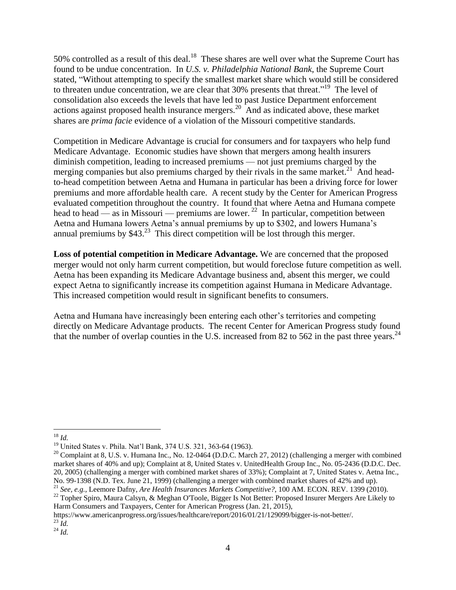50% controlled as a result of this deal.<sup>18</sup> These shares are well over what the Supreme Court has found to be undue concentration. In *U.S. v. Philadelphia National Bank*, the Supreme Court stated, "Without attempting to specify the smallest market share which would still be considered to threaten undue concentration, we are clear that 30% presents that threat."<sup>19</sup> The level of consolidation also exceeds the levels that have led to past Justice Department enforcement actions against proposed health insurance mergers.<sup>20</sup> And as indicated above, these market shares are *prima facie* evidence of a violation of the Missouri competitive standards.

Competition in Medicare Advantage is crucial for consumers and for taxpayers who help fund Medicare Advantage. Economic studies have shown that mergers among health insurers diminish competition, leading to increased premiums — not just premiums charged by the merging companies but also premiums charged by their rivals in the same market.<sup>21</sup> And headto-head competition between Aetna and Humana in particular has been a driving force for lower premiums and more affordable health care. A recent study by the Center for American Progress evaluated competition throughout the country. It found that where Aetna and Humana compete head to head — as in Missouri — premiums are lower.<sup>22</sup> In particular, competition between Aetna and Humana lowers Aetna's annual premiums by up to \$302, and lowers Humana's annual premiums by  $$43.^{23}$  This direct competition will be lost through this merger.

**Loss of potential competition in Medicare Advantage.** We are concerned that the proposed merger would not only harm current competition, but would foreclose future competition as well. Aetna has been expanding its Medicare Advantage business and, absent this merger, we could expect Aetna to significantly increase its competition against Humana in Medicare Advantage. This increased competition would result in significant benefits to consumers.

Aetna and Humana have increasingly been entering each other's territories and competing directly on Medicare Advantage products. The recent Center for American Progress study found that the number of overlap counties in the U.S. increased from 82 to 562 in the past three years.  $^{24}$ 

https://www.americanprogress.org/issues/healthcare/report/2016/01/21/129099/bigger-is-not-better/. <sup>23</sup> *Id.*

 $^{24}$  *Id.* 

 $\overline{a}$ <sup>18</sup> *Id.*

<sup>19</sup> United States v. Phila. Nat'l Bank, 374 U.S. 321, 363-64 (1963).

 $20$  Complaint at 8, U.S. v. Humana Inc., No. 12-0464 (D.D.C. March 27, 2012) (challenging a merger with combined market shares of 40% and up); Complaint at 8, United States v. UnitedHealth Group Inc., No. 05-2436 (D.D.C. Dec. 20, 2005) (challenging a merger with combined market shares of 33%); Complaint at 7, United States v. Aetna Inc., No. 99-1398 (N.D. Tex. June 21, 1999) (challenging a merger with combined market shares of 42% and up). <sup>21</sup> *See, e.g.,* Leemore Dafny, *Are Health Insurances Markets Competitive?*, 100 AM. ECON. REV. 1399 (2010).

<sup>&</sup>lt;sup>22</sup> Topher Spiro, Maura Calsyn, & Meghan O'Toole, Bigger Is Not Better: Proposed Insurer Mergers Are Likely to Harm Consumers and Taxpayers, Center for American Progress (Jan. 21, 2015),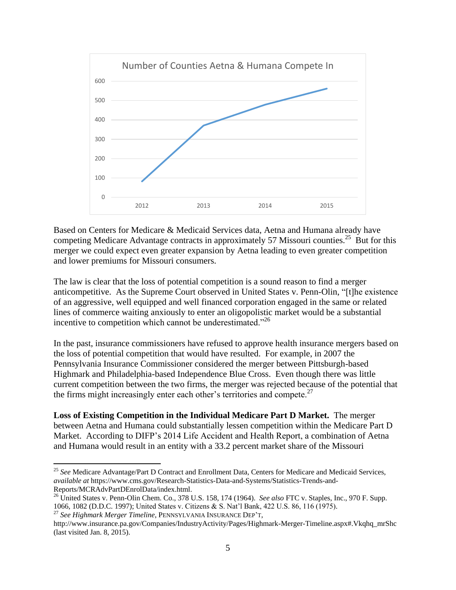

Based on Centers for Medicare & Medicaid Services data, Aetna and Humana already have competing Medicare Advantage contracts in approximately 57 Missouri counties.<sup>25</sup> But for this merger we could expect even greater expansion by Aetna leading to even greater competition and lower premiums for Missouri consumers.

The law is clear that the loss of potential competition is a sound reason to find a merger anticompetitive. As the Supreme Court observed in United States v. Penn-Olin, "[t]he existence of an aggressive, well equipped and well financed corporation engaged in the same or related lines of commerce waiting anxiously to enter an oligopolistic market would be a substantial incentive to competition which cannot be underestimated."<sup>26</sup>

In the past, insurance commissioners have refused to approve health insurance mergers based on the loss of potential competition that would have resulted. For example, in 2007 the Pennsylvania Insurance Commissioner considered the merger between Pittsburgh-based Highmark and Philadelphia-based Independence Blue Cross. Even though there was little current competition between the two firms, the merger was rejected because of the potential that the firms might increasingly enter each other's territories and compete.<sup>27</sup>

**Loss of Existing Competition in the Individual Medicare Part D Market.** The merger between Aetna and Humana could substantially lessen competition within the Medicare Part D Market. According to DIFP's 2014 Life Accident and Health Report, a combination of Aetna and Humana would result in an entity with a 33.2 percent market share of the Missouri

<sup>25</sup> *See* Medicare Advantage/Part D Contract and Enrollment Data, Centers for Medicare and Medicaid Services, *available at* https://www.cms.gov/Research-Statistics-Data-and-Systems/Statistics-Trends-and-Reports/MCRAdvPartDEnrolData/index.html.

<sup>&</sup>lt;sup>26</sup> United States v. Penn-Olin Chem. Co., 378 U.S. 158, 174 (1964). *See also* FTC v. Staples, Inc., 970 F. Supp. 1066, 1082 (D.D.C. 1997); United States v. Citizens & S. Nat'l Bank, 422 U.S. 86, 116 (1975).

<sup>27</sup> *See Highmark Merger Timeline*, PENNSYLVANIA INSURANCE DEP'T,

http://www.insurance.pa.gov/Companies/IndustryActivity/Pages/Highmark-Merger-Timeline.aspx#.Vkqhq\_mrShc (last visited Jan. 8, 2015).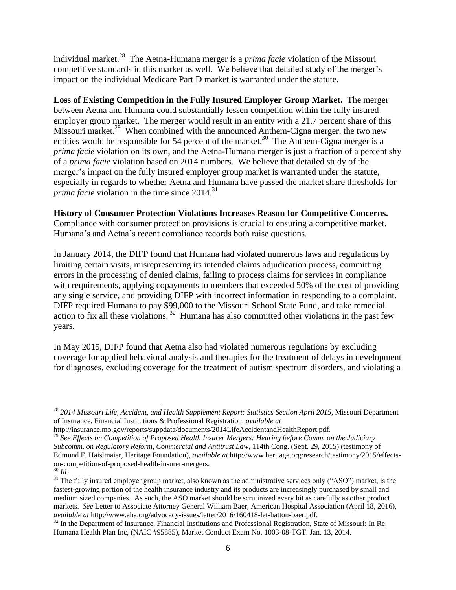individual market.<sup>28</sup> The Aetna-Humana merger is a *prima facie* violation of the Missouri competitive standards in this market as well. We believe that detailed study of the merger's impact on the individual Medicare Part D market is warranted under the statute.

**Loss of Existing Competition in the Fully Insured Employer Group Market.** The merger between Aetna and Humana could substantially lessen competition within the fully insured employer group market. The merger would result in an entity with a 21.7 percent share of this Missouri market.<sup>29</sup> When combined with the announced Anthem-Cigna merger, the two new entities would be responsible for 54 percent of the market.<sup>30</sup> The Anthem-Cigna merger is a *prima facie* violation on its own, and the Aetna-Humana merger is just a fraction of a percent shy of a *prima facie* violation based on 2014 numbers. We believe that detailed study of the merger's impact on the fully insured employer group market is warranted under the statute, especially in regards to whether Aetna and Humana have passed the market share thresholds for *prima facie* violation in the time since 2014. 31

#### **History of Consumer Protection Violations Increases Reason for Competitive Concerns.**

Compliance with consumer protection provisions is crucial to ensuring a competitive market. Humana's and Aetna's recent compliance records both raise questions.

In January 2014, the DIFP found that Humana had violated numerous laws and regulations by limiting certain visits, misrepresenting its intended claims adjudication process, committing errors in the processing of denied claims, failing to process claims for services in compliance with requirements, applying copayments to members that exceeded 50% of the cost of providing any single service, and providing DIFP with incorrect information in responding to a complaint. DIFP required Humana to pay \$99,000 to the Missouri School State Fund, and take remedial action to fix all these violations.<sup>32</sup> Humana has also committed other violations in the past few years.

In May 2015, DIFP found that Aetna also had violated numerous regulations by excluding coverage for applied behavioral analysis and therapies for the treatment of delays in development for diagnoses, excluding coverage for the treatment of autism spectrum disorders, and violating a

 $\overline{a}$ <sup>28</sup> *2014 Missouri Life, Accident, and Health Supplement Report: Statistics Section April 2015*, Missouri Department of Insurance, Financial Institutions & Professional Registration, *available at*

http://insurance.mo.gov/reports/suppdata/documents/2014LifeAccidentandHealthReport.pdf.

<sup>29</sup> *See Effects on Competition of Proposed Health Insurer Mergers: Hearing before Comm. on the Judiciary Subcomm. on Regulatory Reform, Commercial and Antitrust Law*, 114th Cong. (Sept. 29, 2015) (testimony of Edmund F. Haislmaier, Heritage Foundation), *available at* http://www.heritage.org/research/testimony/2015/effectson-competition-of-proposed-health-insurer-mergers.

<sup>30</sup> *Id.*

 $31$  The fully insured employer group market, also known as the administrative services only ("ASO") market, is the fastest-growing portion of the health insurance industry and its products are increasingly purchased by small and medium sized companies. As such, the ASO market should be scrutinized every bit as carefully as other product markets. *See* Letter to Associate Attorney General William Baer, American Hospital Association (April 18, 2016), *available at* http://www.aha.org/advocacy-issues/letter/2016/160418-let-hatton-baer.pdf.

<sup>&</sup>lt;sup>32</sup> In the Department of Insurance, Financial Institutions and Professional Registration, State of Missouri: In Re: Humana Health Plan Inc, (NAIC #95885), Market Conduct Exam No. 1003-08-TGT. Jan. 13, 2014.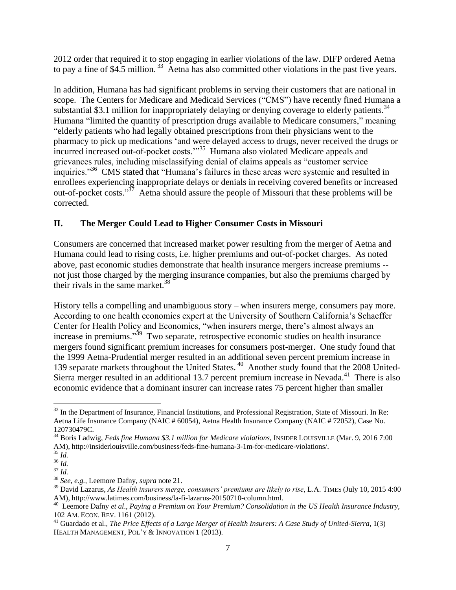2012 order that required it to stop engaging in earlier violations of the law. DIFP ordered Aetna to pay a fine of \$4.5 million.<sup>33</sup> Aetna has also committed other violations in the past five years.

In addition, Humana has had significant problems in serving their customers that are national in scope. The Centers for Medicare and Medicaid Services ("CMS") have recently fined Humana a substantial \$3.1 million for inappropriately delaying or denying coverage to elderly patients. $34$ Humana "limited the quantity of prescription drugs available to Medicare consumers," meaning "elderly patients who had legally obtained prescriptions from their physicians went to the pharmacy to pick up medications 'and were delayed access to drugs, never received the drugs or incurred increased out-of-pocket costs."<sup>35</sup> Humana also violated Medicare appeals and grievances rules, including misclassifying denial of claims appeals as "customer service inquiries."<sup>36</sup> CMS stated that "Humana's failures in these areas were systemic and resulted in enrollees experiencing inappropriate delays or denials in receiving covered benefits or increased out-of-pocket costs."<sup>37</sup> Aetna should assure the people of Missouri that these problems will be corrected.

## **II. The Merger Could Lead to Higher Consumer Costs in Missouri**

Consumers are concerned that increased market power resulting from the merger of Aetna and Humana could lead to rising costs, i.e. higher premiums and out-of-pocket charges. As noted above, past economic studies demonstrate that health insurance mergers increase premiums - not just those charged by the merging insurance companies, but also the premiums charged by their rivals in the same market. $38$ 

History tells a compelling and unambiguous story – when insurers merge, consumers pay more. According to one health economics expert at the University of Southern California's Schaeffer Center for Health Policy and Economics, "when insurers merge, there's almost always an increase in premiums."<sup>39</sup> Two separate, retrospective economic studies on health insurance mergers found significant premium increases for consumers post-merger. One study found that the 1999 Aetna-Prudential merger resulted in an additional seven percent premium increase in 139 separate markets throughout the United States.<sup>40</sup> Another study found that the 2008 United-Sierra merger resulted in an additional 13.7 percent premium increase in Nevada. $41$  There is also economic evidence that a dominant insurer can increase rates 75 percent higher than smaller

 $\overline{a}$ <sup>33</sup> In the Department of Insurance, Financial Institutions, and Professional Registration, State of Missouri. In Re: Aetna Life Insurance Company (NAIC # 60054), Aetna Health Insurance Company (NAIC # 72052), Case No. 120730479C.

<sup>34</sup> Boris Ladwig, *Feds fine Humana \$3.1 million for Medicare violations*, INSIDER LOUISVILLE (Mar. 9, 2016 7:00 AM), http://insiderlouisville.com/business/feds-fine-humana-3-1m-for-medicare-violations/.

<sup>35</sup> *Id.*

 $36$   $\frac{1}{10}$ .

<sup>37</sup> *Id.*

<sup>38</sup> *See, e.g.,* Leemore Dafny, *supra* note 21.

<sup>39</sup> David Lazarus, *As Health insurers merge, consumers' premiums are likely to rise*, L.A. TIMES (July 10, 2015 4:00 AM), http://www.latimes.com/business/la-fi-lazarus-20150710-column.html.

<sup>40</sup> Leemore Dafny *et al*., *Paying a Premium on Your Premium? Consolidation in the US Health Insurance Industry,*  102 AM. ECON. REV. 1161 (2012).

<sup>&</sup>lt;sup>41</sup> Guardado et al., *The Price Effects of a Large Merger of Health Insurers: A Case Study of United-Sierra, 1(3)* HEALTH MANAGEMENT, POL'Y & INNOVATION 1 (2013).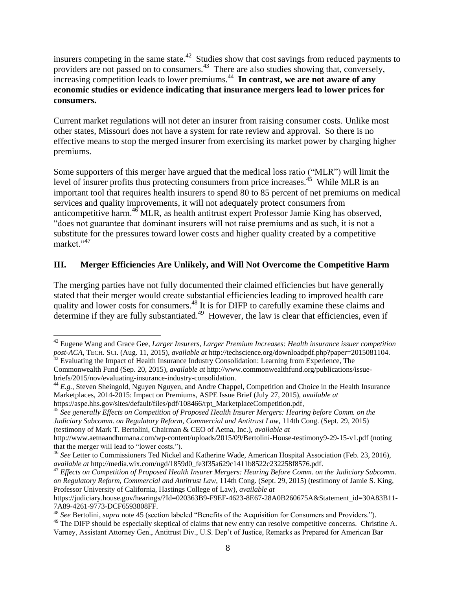insurers competing in the same state. $42$  Studies show that cost savings from reduced payments to providers are not passed on to consumers.<sup>43</sup> There are also studies showing that, conversely, increasing competition leads to lower premiums.<sup>44</sup> In contrast, we are not aware of any **economic studies or evidence indicating that insurance mergers lead to lower prices for consumers.** 

Current market regulations will not deter an insurer from raising consumer costs. Unlike most other states, Missouri does not have a system for rate review and approval. So there is no effective means to stop the merged insurer from exercising its market power by charging higher premiums.

Some supporters of this merger have argued that the medical loss ratio ("MLR") will limit the level of insurer profits thus protecting consumers from price increases. $45$  While MLR is an important tool that requires health insurers to spend 80 to 85 percent of net premiums on medical services and quality improvements, it will not adequately protect consumers from anticompetitive harm. $46$  MLR, as health antitrust expert Professor Jamie King has observed, "does not guarantee that dominant insurers will not raise premiums and as such, it is not a substitute for the pressures toward lower costs and higher quality created by a competitive market."<sup>47</sup>

## **III. Merger Efficiencies Are Unlikely, and Will Not Overcome the Competitive Harm**

The merging parties have not fully documented their claimed efficiencies but have generally stated that their merger would create substantial efficiencies leading to improved health care quality and lower costs for consumers.<sup>48</sup> It is for DIFP to carefully examine these claims and determine if they are fully substantiated.<sup>49</sup> However, the law is clear that efficiencies, even if

 $\overline{a}$ 

<sup>45</sup> *See generally Effects on Competition of Proposed Health Insurer Mergers: Hearing before Comm. on the Judiciary Subcomm. on Regulatory Reform, Commercial and Antitrust Law*, 114th Cong. (Sept. 29, 2015) (testimony of Mark T. Bertolini, Chairman & CEO of Aetna, Inc.), *available at*

http://www.aetnaandhumana.com/wp-content/uploads/2015/09/Bertolini-House-testimony9-29-15-v1.pdf (noting that the merger will lead to "lower costs.").

<sup>47</sup> *Effects on Competition of Proposed Health Insurer Mergers: Hearing Before Comm. on the Judiciary Subcomm. on Regulatory Reform, Commercial and Antitrust Law*, 114th Cong. (Sept. 29, 2015) (testimony of Jamie S. King, Professor University of California, Hastings College of Law), *available at* 

<sup>42</sup> Eugene Wang and Grace Gee, *Larger Insurers, Larger Premium Increases: Health insurance issuer competition post-ACA*, TECH. SCI. (Aug. 11, 2015), *available at* http://techscience.org/downloadpdf.php?paper=2015081104. <sup>43</sup> Evaluating the Impact of Health Insurance Industry Consolidation: Learning from Experience, The

Commonwealth Fund (Sep. 20, 2015), *available at* http://www.commonwealthfund.org/publications/issuebriefs/2015/nov/evaluating-insurance-industry-consolidation.

<sup>44</sup> *E.g.*, Steven Sheingold, Nguyen Nguyen, and Andre Chappel, Competition and Choice in the Health Insurance Marketplaces, 2014-2015: Impact on Premiums, ASPE Issue Brief (July 27, 2015), *available at* https://aspe.hhs.gov/sites/default/files/pdf/108466/rpt\_MarketplaceCompetition.pdf,

<sup>46</sup> *See* Letter to Commissioners Ted Nickel and Katherine Wade, American Hospital Association (Feb. 23, 2016), *available at* http://media.wix.com/ugd/1859d0\_fe3f35a629c1411b8522c232258f8576.pdf.

https://judiciary.house.gov/hearings/?Id=020363B9-F9EF-4623-8E67-28A0B260675A&Statement\_id=30A83B11- 7A89-4261-9773-DCF6593808FF.

<sup>48</sup> *See* Bertolini, *supra* note 45 (section labeled "Benefits of the Acquisition for Consumers and Providers.").

<sup>&</sup>lt;sup>49</sup> The DIFP should be especially skeptical of claims that new entry can resolve competitive concerns. Christine A. Varney, Assistant Attorney Gen., Antitrust Div., U.S. Dep't of Justice, Remarks as Prepared for American Bar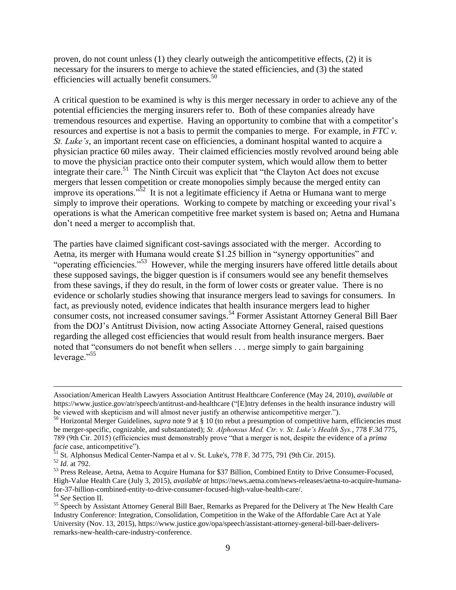proven, do not count unless (1) they clearly outweigh the anticompetitive effects, (2) it is necessary for the insurers to merge to achieve the stated efficiencies, and (3) the stated efficiencies will actually benefit consumers.<sup>50</sup>

A critical question to be examined is why is this merger necessary in order to achieve any of the potential efficiencies the merging insurers refer to. Both of these companies already have tremendous resources and expertise. Having an opportunity to combine that with a competitor's resources and expertise is not a basis to permit the companies to merge. For example, in *FTC v. St. Luke's*, an important recent case on efficiencies, a dominant hospital wanted to acquire a physician practice 60 miles away. Their claimed efficiencies mostly revolved around being able to move the physician practice onto their computer system, which would allow them to better integrate their care.<sup>51</sup> The Ninth Circuit was explicit that "the Clayton Act does not excuse mergers that lessen competition or create monopolies simply because the merged entity can improve its operations." $52$  It is not a legitimate efficiency if Aetna or Humana want to merge simply to improve their operations. Working to compete by matching or exceeding your rival's operations is what the American competitive free market system is based on; Aetna and Humana don't need a merger to accomplish that.

The parties have claimed significant cost-savings associated with the merger. According to Aetna, its merger with Humana would create \$1.25 billion in "synergy opportunities" and "operating efficiencies."<sup>53</sup> However, while the merging insurers have offered little details about these supposed savings, the bigger question is if consumers would see any benefit themselves from these savings, if they do result, in the form of lower costs or greater value. There is no evidence or scholarly studies showing that insurance mergers lead to savings for consumers. In fact, as previously noted, evidence indicates that health insurance mergers lead to higher consumer costs, not increased consumer savings.<sup>54</sup> Former Assistant Attorney General Bill Baer from the DOJ's Antitrust Division, now acting Associate Attorney General, raised questions regarding the alleged cost efficiencies that would result from health insurance mergers. Baer noted that "consumers do not benefit when sellers . . . merge simply to gain bargaining leverage."<sup>55</sup>

Association/American Health Lawyers Association Antitrust Healthcare Conference (May 24, 2010), *available at*  https://www.justice.gov/atr/speech/antitrust-and-healthcare ("[E]ntry defenses in the health insurance industry will be viewed with skepticism and will almost never justify an otherwise anticompetitive merger.").

<sup>&</sup>lt;sup>50</sup> Horizontal Merger Guidelines, *supra* note 9 at § 10 (to rebut a presumption of competitive harm, efficiencies must be merger-specific, cognizable, and substantiated); *St. Alphonsus Med. Ctr. v. St. Luke's Health Sys.*, 778 F.3d 775, 789 (9th Cir. 2015) (efficiencies must demonstrably prove "that a merger is not, despite the evidence of a *prima facie* case, anticompetitive").

<sup>&</sup>lt;sup>51</sup> St. Alphonsus Medical Center-Nampa et al v. St. Luke's, 778 F. 3d 775, 791 (9th Cir. 2015).

 $52 \overline{1d}$ . at 792.

<sup>53</sup> Press Release, Aetna, Aetna to Acquire Humana for \$37 Billion, Combined Entity to Drive Consumer-Focused, High-Value Health Care (July 3, 2015), *available at* https://news.aetna.com/news-releases/aetna-to-acquire-humanafor-37-billion-combined-entity-to-drive-consumer-focused-high-value-health-care/.

<sup>54</sup> *See* Section II.

<sup>&</sup>lt;sup>55</sup> Speech by Assistant Attorney General Bill Baer, Remarks as Prepared for the Delivery at The New Health Care Industry Conference: Integration, Consolidation, Competition in the Wake of the Affordable Care Act at Yale University (Nov. 13, 2015), https://www.justice.gov/opa/speech/assistant-attorney-general-bill-baer-deliversremarks-new-health-care-industry-conference.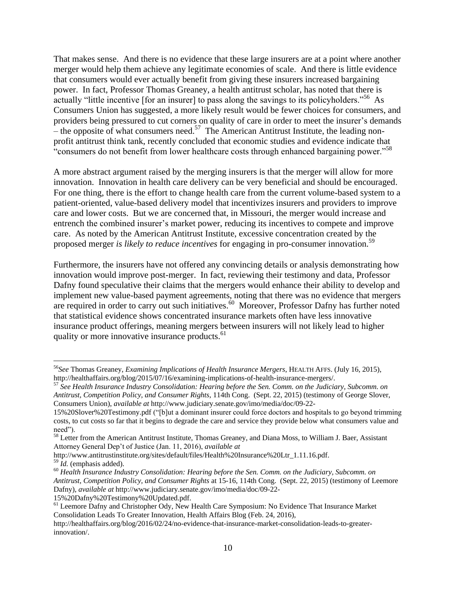That makes sense. And there is no evidence that these large insurers are at a point where another merger would help them achieve any legitimate economies of scale. And there is little evidence that consumers would ever actually benefit from giving these insurers increased bargaining power. In fact, Professor Thomas Greaney, a health antitrust scholar, has noted that there is actually "little incentive [for an insurer] to pass along the savings to its policyholders."<sup>56</sup> As Consumers Union has suggested, a more likely result would be fewer choices for consumers, and providers being pressured to cut corners on quality of care in order to meet the insurer's demands  $-$  the opposite of what consumers need.<sup>57</sup> The American Antitrust Institute, the leading nonprofit antitrust think tank, recently concluded that economic studies and evidence indicate that "consumers do not benefit from lower healthcare costs through enhanced bargaining power."<sup>58</sup>

A more abstract argument raised by the merging insurers is that the merger will allow for more innovation. Innovation in health care delivery can be very beneficial and should be encouraged. For one thing, there is the effort to change health care from the current volume-based system to a patient-oriented, value-based delivery model that incentivizes insurers and providers to improve care and lower costs. But we are concerned that, in Missouri, the merger would increase and entrench the combined insurer's market power, reducing its incentives to compete and improve care. As noted by the American Antitrust Institute, excessive concentration created by the proposed merger *is likely to reduce incentives* for engaging in pro-consumer innovation.<sup>59</sup>

Furthermore, the insurers have not offered any convincing details or analysis demonstrating how innovation would improve post-merger. In fact, reviewing their testimony and data, Professor Dafny found speculative their claims that the mergers would enhance their ability to develop and implement new value-based payment agreements, noting that there was no evidence that mergers are required in order to carry out such initiatives.<sup>60</sup> Moreover, Professor Dafny has further noted that statistical evidence shows concentrated insurance markets often have less innovative insurance product offerings, meaning mergers between insurers will not likely lead to higher quality or more innovative insurance products.<sup>61</sup>

<sup>56</sup>*See* Thomas Greaney, *Examining Implications of Health Insurance Mergers*, HEALTH AFFS. (July 16, 2015), http://healthaffairs.org/blog/2015/07/16/examining-implications-of-health-insurance-mergers/.

<sup>57</sup> *See Health Insurance Industry Consolidation: Hearing before the Sen. Comm. on the Judiciary, Subcomm. on Antitrust, Competition Policy, and Consumer Rights*, 114th Cong. (Sept. 22, 2015) (testimony of George Slover, Consumers Union), *available at* http://www.judiciary.senate.gov/imo/media/doc/09-22-

<sup>15%20</sup>Slover%20Testimony.pdf ("[b]ut a dominant insurer could force doctors and hospitals to go beyond trimming costs, to cut costs so far that it begins to degrade the care and service they provide below what consumers value and need").

<sup>&</sup>lt;sup>58</sup> Letter from the American Antitrust Institute, Thomas Greaney, and Diana Moss, to William J. Baer, Assistant Attorney General Dep't of Justice (Jan. 11, 2016), *available at*

http://www.antitrustinstitute.org/sites/default/files/Health%20Insurance%20Ltr\_1.11.16.pdf. <sup>59</sup> *Id.* (emphasis added).

<sup>60</sup> *Health Insurance Industry Consolidation: Hearing before the Sen. Comm. on the Judiciary, Subcomm. on Antitrust, Competition Policy, and Consumer Rights* at 15-16, 114th Cong. (Sept. 22, 2015) (testimony of Leemore Dafny), *available at* http://www.judiciary.senate.gov/imo/media/doc/09-22-

<sup>15%20</sup>Dafny%20Testimony%20Updated.pdf.

<sup>&</sup>lt;sup>61</sup> Leemore Dafny and Christopher Ody, New Health Care Symposium: No Evidence That Insurance Market Consolidation Leads To Greater Innovation, Health Affairs Blog (Feb. 24, 2016),

http://healthaffairs.org/blog/2016/02/24/no-evidence-that-insurance-market-consolidation-leads-to-greaterinnovation/.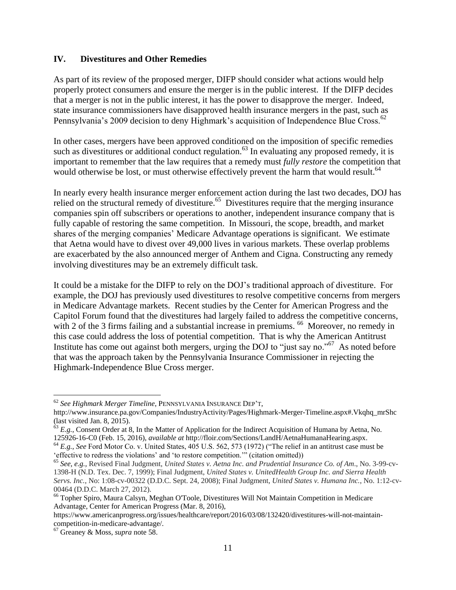#### **IV. Divestitures and Other Remedies**

As part of its review of the proposed merger, DIFP should consider what actions would help properly protect consumers and ensure the merger is in the public interest. If the DIFP decides that a merger is not in the public interest, it has the power to disapprove the merger. Indeed, state insurance commissioners have disapproved health insurance mergers in the past, such as Pennsylvania's 2009 decision to deny Highmark's acquisition of Independence Blue Cross.<sup>62</sup>

In other cases, mergers have been approved conditioned on the imposition of specific remedies such as divestitures or additional conduct regulation.<sup>63</sup> In evaluating any proposed remedy, it is important to remember that the law requires that a remedy must *fully restore* the competition that would otherwise be lost, or must otherwise effectively prevent the harm that would result.<sup>64</sup>

In nearly every health insurance merger enforcement action during the last two decades, DOJ has relied on the structural remedy of divestiture.<sup>65</sup> Divestitures require that the merging insurance companies spin off subscribers or operations to another, independent insurance company that is fully capable of restoring the same competition. In Missouri, the scope, breadth, and market shares of the merging companies' Medicare Advantage operations is significant. We estimate that Aetna would have to divest over 49,000 lives in various markets. These overlap problems are exacerbated by the also announced merger of Anthem and Cigna. Constructing any remedy involving divestitures may be an extremely difficult task.

It could be a mistake for the DIFP to rely on the DOJ's traditional approach of divestiture. For example, the DOJ has previously used divestitures to resolve competitive concerns from mergers in Medicare Advantage markets. Recent studies by the Center for American Progress and the Capitol Forum found that the divestitures had largely failed to address the competitive concerns, with 2 of the 3 firms failing and a substantial increase in premiums. <sup>66</sup> Moreover, no remedy in this case could address the loss of potential competition. That is why the American Antitrust Institute has come out against both mergers, urging the DOJ to "just say no."<sup>67</sup> As noted before that was the approach taken by the Pennsylvania Insurance Commissioner in rejecting the Highmark-Independence Blue Cross merger.

 $\overline{a}$ <sup>62</sup> *See Highmark Merger Timeline*, PENNSYLVANIA INSURANCE DEP'T,

http://www.insurance.pa.gov/Companies/IndustryActivity/Pages/Highmark-Merger-Timeline.aspx#.Vkqhq\_mrShc (last visited Jan. 8, 2015).

 $^{63}$  *E.g.*, Consent Order at 8, In the Matter of Application for the Indirect Acquisition of Humana by Aetna, No. 125926-16-C0 (Feb. 15, 2016), *available at* http://floir.com/Sections/LandH/AetnaHumanaHearing.aspx.

<sup>64</sup> *E.g.*, *See* Ford Motor Co. v. United States, 405 U.S. 562, 573 (1972) ("The relief in an antitrust case must be 'effective to redress the violations' and 'to restore competition.'" (citation omitted))

<sup>65</sup> *See, e.g.,* Revised Final Judgment, *United States v. Aetna Inc. and Prudential Insurance Co. of Am*., No. 3-99-cv-1398-H (N.D. Tex. Dec. 7, 1999); Final Judgment, *United States v. UnitedHealth Group Inc. and Sierra Health Servs. Inc.*, No: 1:08-cv-00322 (D.D.C. Sept. 24, 2008); Final Judgment, *United States v. Humana Inc.*, No. 1:12-cv-00464 (D.D.C. March 27, 2012).

<sup>66</sup> Topher Spiro, Maura Calsyn, Meghan O'Toole, Divestitures Will Not Maintain Competition in Medicare Advantage, Center for American Progress (Mar. 8, 2016),

https://www.americanprogress.org/issues/healthcare/report/2016/03/08/132420/divestitures-will-not-maintaincompetition-in-medicare-advantage/.

<sup>67</sup> Greaney & Moss, *supra* note 58.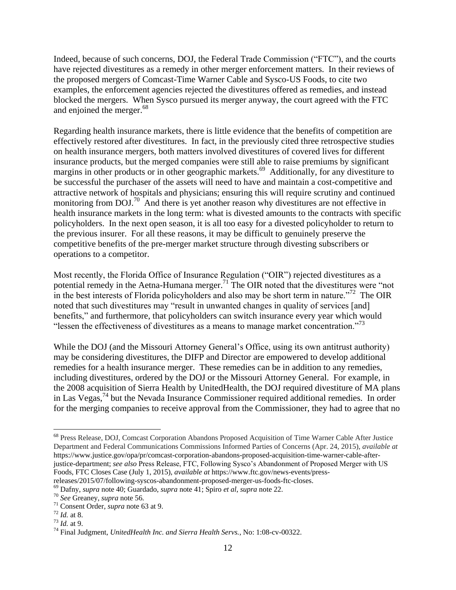Indeed, because of such concerns, DOJ, the Federal Trade Commission ("FTC"), and the courts have rejected divestitures as a remedy in other merger enforcement matters. In their reviews of the proposed mergers of Comcast-Time Warner Cable and Sysco-US Foods, to cite two examples, the enforcement agencies rejected the divestitures offered as remedies, and instead blocked the mergers. When Sysco pursued its merger anyway, the court agreed with the FTC and enjoined the merger.<sup>68</sup>

Regarding health insurance markets, there is little evidence that the benefits of competition are effectively restored after divestitures. In fact, in the previously cited three retrospective studies on health insurance mergers, both matters involved divestitures of covered lives for different insurance products, but the merged companies were still able to raise premiums by significant margins in other products or in other geographic markets.<sup>69</sup> Additionally, for any divestiture to be successful the purchaser of the assets will need to have and maintain a cost-competitive and attractive network of hospitals and physicians; ensuring this will require scrutiny and continued monitoring from DOJ.<sup>70</sup> And there is yet another reason why divestitures are not effective in health insurance markets in the long term: what is divested amounts to the contracts with specific policyholders. In the next open season, it is all too easy for a divested policyholder to return to the previous insurer. For all these reasons, it may be difficult to genuinely preserve the competitive benefits of the pre-merger market structure through divesting subscribers or operations to a competitor.

Most recently, the Florida Office of Insurance Regulation ("OIR") rejected divestitures as a potential remedy in the Aetna-Humana merger.<sup>71</sup> The OIR noted that the divestitures were "not in the best interests of Florida policyholders and also may be short term in nature.<sup> $272$ </sup> The OIR noted that such divestitures may "result in unwanted changes in quality of services [and] benefits," and furthermore, that policyholders can switch insurance every year which would "lessen the effectiveness of divestitures as a means to manage market concentration."<sup>73</sup>

While the DOJ (and the Missouri Attorney General's Office, using its own antitrust authority) may be considering divestitures, the DIFP and Director are empowered to develop additional remedies for a health insurance merger. These remedies can be in addition to any remedies, including divestitures, ordered by the DOJ or the Missouri Attorney General. For example, in the 2008 acquisition of Sierra Health by UnitedHealth, the DOJ required divestiture of MA plans in Las Vegas,<sup>74</sup> but the Nevada Insurance Commissioner required additional remedies. In order for the merging companies to receive approval from the Commissioner, they had to agree that no

<sup>68</sup> Press Release, DOJ, Comcast Corporation Abandons Proposed Acquisition of Time Warner Cable After Justice Department and Federal Communications Commissions Informed Parties of Concerns (Apr. 24, 2015), *available at*  https://www.justice.gov/opa/pr/comcast-corporation-abandons-proposed-acquisition-time-warner-cable-afterjustice-department; *see also* Press Release, FTC, Following Sysco's Abandonment of Proposed Merger with US Foods, FTC Closes Case (July 1, 2015), *available at* https://www.ftc.gov/news-events/pressreleases/2015/07/following-syscos-abandonment-proposed-merger-us-foods-ftc-closes.

<sup>69</sup> Dafny, *supra* note 40; Guardado, *supra* note 41; Spiro *et al*, *supra* note 22.

<sup>70</sup> *See* Greaney, *supra* note 56.

<sup>71</sup> Consent Order, *supra* note 63 at 9.

 $72$  *Id.* at 8.

<sup>73</sup> *Id.* at 9.

<sup>74</sup> Final Judgment, *UnitedHealth Inc. and Sierra Health Servs.*, No: 1:08-cv-00322.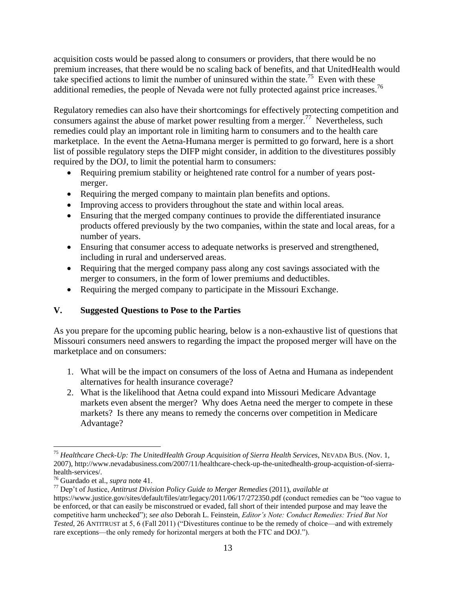acquisition costs would be passed along to consumers or providers, that there would be no premium increases, that there would be no scaling back of benefits, and that UnitedHealth would take specified actions to limit the number of uninsured within the state.<sup>75</sup> Even with these additional remedies, the people of Nevada were not fully protected against price increases.<sup>76</sup>

Regulatory remedies can also have their shortcomings for effectively protecting competition and consumers against the abuse of market power resulting from a merger.<sup>77</sup> Nevertheless, such remedies could play an important role in limiting harm to consumers and to the health care marketplace. In the event the Aetna-Humana merger is permitted to go forward, here is a short list of possible regulatory steps the DIFP might consider, in addition to the divestitures possibly required by the DOJ, to limit the potential harm to consumers:

- Requiring premium stability or heightened rate control for a number of years postmerger.
- Requiring the merged company to maintain plan benefits and options.
- Improving access to providers throughout the state and within local areas.
- Ensuring that the merged company continues to provide the differentiated insurance products offered previously by the two companies, within the state and local areas, for a number of years.
- Ensuring that consumer access to adequate networks is preserved and strengthened, including in rural and underserved areas.
- Requiring that the merged company pass along any cost savings associated with the merger to consumers, in the form of lower premiums and deductibles.
- Requiring the merged company to participate in the Missouri Exchange.

# **V. Suggested Questions to Pose to the Parties**

As you prepare for the upcoming public hearing, below is a non-exhaustive list of questions that Missouri consumers need answers to regarding the impact the proposed merger will have on the marketplace and on consumers:

- 1. What will be the impact on consumers of the loss of Aetna and Humana as independent alternatives for health insurance coverage?
- 2. What is the likelihood that Aetna could expand into Missouri Medicare Advantage markets even absent the merger? Why does Aetna need the merger to compete in these markets? Is there any means to remedy the concerns over competition in Medicare Advantage?

 $\overline{a}$ <sup>75</sup> *Healthcare Check-Up: The UnitedHealth Group Acquisition of Sierra Health Services*, NEVADA BUS. (Nov. 1, 2007), http://www.nevadabusiness.com/2007/11/healthcare-check-up-the-unitedhealth-group-acquistion-of-sierrahealth-services/.

<sup>76</sup> Guardado et al., *supra* note 41.

<sup>77</sup> Dep't of Justice, *Antitrust Division Policy Guide to Merger Remedies* (2011), *available at*

https://www.justice.gov/sites/default/files/atr/legacy/2011/06/17/272350.pdf (conduct remedies can be "too vague to be enforced, or that can easily be misconstrued or evaded, fall short of their intended purpose and may leave the competitive harm unchecked"); *see also* Deborah L. Feinstein, *Editor's Note: Conduct Remedies: Tried But Not Tested*, 26 ANTITRUST at 5, 6 (Fall 2011) ("Divestitures continue to be the remedy of choice—and with extremely rare exceptions—the only remedy for horizontal mergers at both the FTC and DOJ.").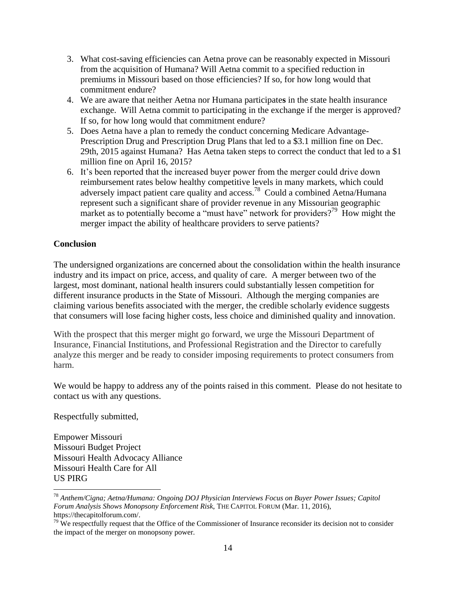- 3. What cost-saving efficiencies can Aetna prove can be reasonably expected in Missouri from the acquisition of Humana? Will Aetna commit to a specified reduction in premiums in Missouri based on those efficiencies? If so, for how long would that commitment endure?
- 4. We are aware that neither Aetna nor Humana participate**s** in the state health insurance exchange. Will Aetna commit to participating in the exchange if the merger is approved? If so, for how long would that commitment endure?
- 5. Does Aetna have a plan to remedy the conduct concerning Medicare Advantage-Prescription Drug and Prescription Drug Plans that led to a \$3.1 million fine on Dec. 29th, 2015 against Humana? Has Aetna taken steps to correct the conduct that led to a \$1 million fine on April 16, 2015?
- 6. It's been reported that the increased buyer power from the merger could drive down reimbursement rates below healthy competitive levels in many markets, which could adversely impact patient care quality and access.<sup>78</sup> Could a combined Aetna/Humana represent such a significant share of provider revenue in any Missourian geographic market as to potentially become a "must have" network for providers?<sup>79</sup> How might the merger impact the ability of healthcare providers to serve patients?

## **Conclusion**

The undersigned organizations are concerned about the consolidation within the health insurance industry and its impact on price, access, and quality of care. A merger between two of the largest, most dominant, national health insurers could substantially lessen competition for different insurance products in the State of Missouri. Although the merging companies are claiming various benefits associated with the merger, the credible scholarly evidence suggests that consumers will lose facing higher costs, less choice and diminished quality and innovation.

With the prospect that this merger might go forward, we urge the Missouri Department of Insurance, Financial Institutions, and Professional Registration and the Director to carefully analyze this merger and be ready to consider imposing requirements to protect consumers from harm.

We would be happy to address any of the points raised in this comment. Please do not hesitate to contact us with any questions.

Respectfully submitted,

 $\overline{a}$ 

Empower Missouri Missouri Budget Project Missouri Health Advocacy Alliance Missouri Health Care for All US PIRG

<sup>78</sup> *Anthem/Cigna; Aetna/Humana: Ongoing DOJ Physician Interviews Focus on Buyer Power Issues; Capitol Forum Analysis Shows Monopsony Enforcement Risk*, THE CAPITOL FORUM (Mar. 11, 2016), https://thecapitolforum.com/.

 $79$  We respectfully request that the Office of the Commissioner of Insurance reconsider its decision not to consider the impact of the merger on monopsony power.